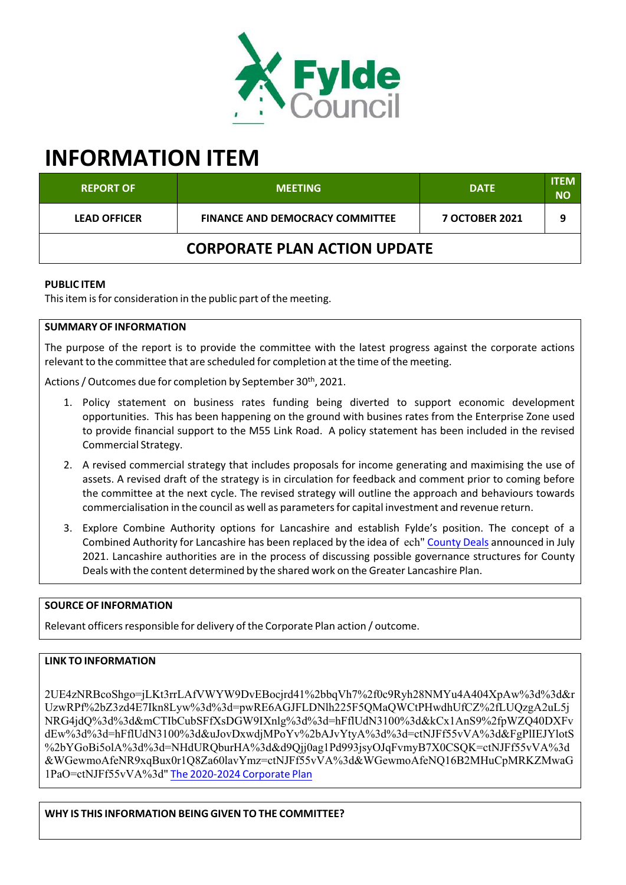

# **INFORMATION ITEM**

| <b>REPORT OF</b>                    | <b>MEETING</b>                         | <b>DATE</b>           | <b>ITEM</b><br>NΟ |
|-------------------------------------|----------------------------------------|-----------------------|-------------------|
| <b>LEAD OFFICER</b>                 | <b>FINANCE AND DEMOCRACY COMMITTEE</b> | <b>7 OCTOBER 2021</b> | 9                 |
| <b>CORPORATE PLAN ACTION UPDATE</b> |                                        |                       |                   |

### **PUBLIC ITEM**

This item is for consideration in the public part of the meeting.

### **SUMMARY OF INFORMATION**

The purpose of the report is to provide the committee with the latest progress against the corporate actions relevant to the committee that are scheduled for completion at the time of the meeting.

Actions / Outcomes due for completion by September 30<sup>th</sup>, 2021.

- 1. Policy statement on business rates funding being diverted to support economic development opportunities. This has been happening on the ground with busines rates from the Enterprise Zone used to provide financial support to the M55 Link Road. A policy statement has been included in the revised Commercial Strategy.
- 2. A revised commercial strategy that includes proposals for income generating and maximising the use of assets. A revised draft of the strategy is in circulation for feedback and comment prior to coming before the committee at the next cycle. The revised strategy will outline the approach and behaviours towards commercialisation in the council as well as parametersfor capital investment and revenue return.
- 3. Explore Combine Authority options for Lancashire and establish Fylde's position. The concept of a Combined Authority for Lancashire has been replaced by the idea of ech" County Deals announced in July 2021. Lancashire authorities are in the process of discussing possible governance structures for County Deals with the content determined by the shared work on the Greater Lancashire Plan.

## **SOURCE OF INFORMATION**

Relevant officers responsible for delivery of the Corporate Plan action / outcome.

## **LINK TO INFORMATION**

2UE4zNRBcoShgo=jLKt3rrLAfVWYW9DvEBocjrd41%2bbqVh7%2f0c9Ryh28NMYu4A404XpAw%3d%3d&r UzwRPf%2bZ3zd4E7Ikn8Lyw%3d%3d=pwRE6AGJFLDNlh225F5QMaQWCtPHwdhUfCZ%2fLUQzgA2uL5j NRG4jdQ%3d%3d&mCTIbCubSFfXsDGW9IXnlg%3d%3d=hFflUdN3100%3d&kCx1AnS9%2fpWZQ40DXFv dEw%3d%3d=hFflUdN3100%3d&uJovDxwdjMPoYv%2bAJvYtyA%3d%3d=ctNJFf55vVA%3d&FgPlIEJYlotS %2bYGoBi5olA%3d%3d=NHdURQburHA%3d&d9Qjj0ag1Pd993jsyOJqFvmyB7X0CSQK=ctNJFf55vVA%3d &WGewmoAfeNR9xqBux0r1Q8Za60lavYmz=ctNJFf55vVA%3d&WGewmoAfeNQ16B2MHuCpMRKZMwaG 1PaO=ctNJFf55vVA%3d" The 2020‐2024 Corporate Plan

**WHY IS THIS INFORMATION BEING GIVEN TO THE COMMITTEE?**